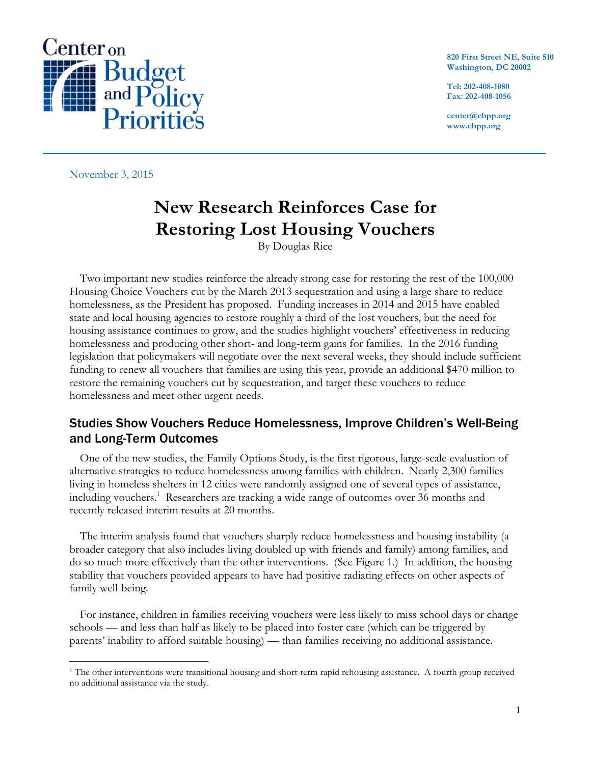

**820 First Street NE, Suite 510 Washington, DC 20002**

**Tel: 202-408-1080 Fax: 202-408-1056**

**center@cbpp.org www.cbpp.org**

November 3, 2015

# **New Research Reinforces Case for Restoring Lost Housing Vouchers**

By Douglas Rice

Two important new studies reinforce the already strong case for restoring the rest of the 100,000 Housing Choice Vouchers cut by the March 2013 sequestration and using a large share to reduce homelessness, as the President has proposed. Funding increases in 2014 and 2015 have enabled state and local housing agencies to restore roughly a third of the lost vouchers, but the need for housing assistance continues to grow, and the studies highlight vouchers' effectiveness in reducing homelessness and producing other short- and long-term gains for families. In the 2016 funding legislation that policymakers will negotiate over the next several weeks, they should include sufficient funding to renew all vouchers that families are using this year, provide an additional \$470 million to restore the remaining vouchers cut by sequestration, and target these vouchers to reduce homelessness and meet other urgent needs.

### Studies Show Vouchers Reduce Homelessness, Improve Children's Well-Being and Long-Term Outcomes

One of the new studies, the Family Options Study, is the first rigorous, large-scale evaluation of alternative strategies to reduce homelessness among families with children. Nearly 2,300 families living in homeless shelters in 12 cities were randomly assigned one of several types of assistance, including vouchers.<sup>1</sup> Researchers are tracking a wide range of outcomes over 36 months and recently released interim results at 20 months.

The interim analysis found that vouchers sharply reduce homelessness and housing instability (a broader category that also includes living doubled up with friends and family) among families, and do so much more effectively than the other interventions. (See Figure 1.) In addition, the housing stability that vouchers provided appears to have had positive radiating effects on other aspects of family well-being.

For instance, children in families receiving vouchers were less likely to miss school days or change schools — and less than half as likely to be placed into foster care (which can be triggered by parents' inability to afford suitable housing) — than families receiving no additional assistance.

 <sup>1</sup> The other interventions were transitional housing and short-term rapid rehousing assistance. A fourth group received no additional assistance via the study.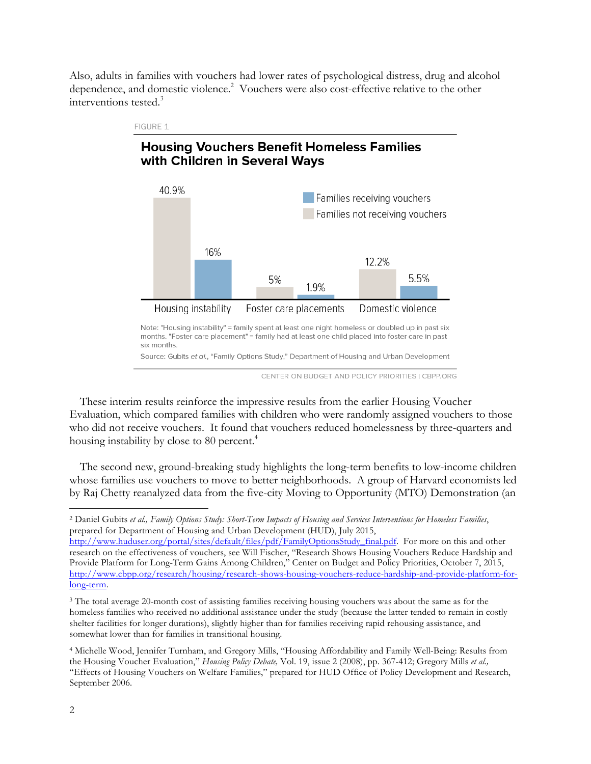Also, adults in families with vouchers had lower rates of psychological distress, drug and alcohol dependence, and domestic violence.<sup>2</sup> Vouchers were also cost-effective relative to the other interventions tested.<sup>3</sup>



CENTER ON BUDGET AND POLICY PRIORITIES | CBPP.ORG

These interim results reinforce the impressive results from the earlier Housing Voucher Evaluation, which compared families with children who were randomly assigned vouchers to those who did not receive vouchers. It found that vouchers reduced homelessness by three-quarters and housing instability by close to 80 percent.<sup>4</sup>

The second new, ground-breaking study highlights the long-term benefits to low-income children whose families use vouchers to move to better neighborhoods. A group of Harvard economists led by Raj Chetty reanalyzed data from the five-city Moving to Opportunity (MTO) Demonstration (an

 <sup>2</sup> Daniel Gubits *et al., Family Options Study: Short-Term Impacts of Housing and Services Interventions for Homeless Families*, prepared for Department of Housing and Urban Development (HUD), July 2015,

http://www.huduser.org/portal/sites/default/files/pdf/FamilyOptionsStudy\_final.pdf. For more on this and other research on the effectiveness of vouchers, see Will Fischer, "Research Shows Housing Vouchers Reduce Hardship and Provide Platform for Long-Term Gains Among Children," Center on Budget and Policy Priorities, October 7, 2015, http://www.cbpp.org/research/housing/research-shows-housing-vouchers-reduce-hardship-and-provide-platform-forlong-term.

<sup>&</sup>lt;sup>3</sup> The total average 20-month cost of assisting families receiving housing vouchers was about the same as for the homeless families who received no additional assistance under the study (because the latter tended to remain in costly shelter facilities for longer durations), slightly higher than for families receiving rapid rehousing assistance, and somewhat lower than for families in transitional housing.

<sup>4</sup> Michelle Wood, Jennifer Turnham, and Gregory Mills, "Housing Affordability and Family Well-Being: Results from the Housing Voucher Evaluation," *Housing Policy Debate,* Vol. 19, issue 2 (2008), pp. 367-412; Gregory Mills *et al.,* "Effects of Housing Vouchers on Welfare Families," prepared for HUD Office of Policy Development and Research, September 2006.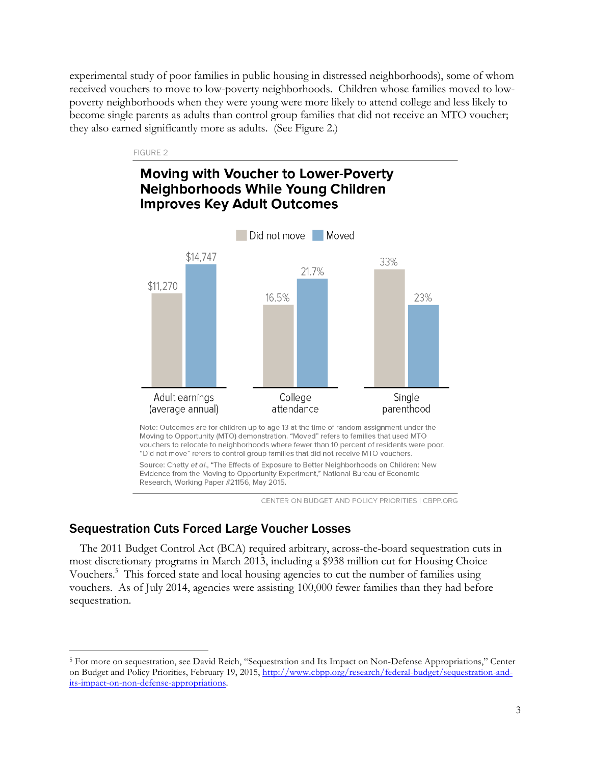experimental study of poor families in public housing in distressed neighborhoods), some of whom received vouchers to move to low-poverty neighborhoods. Children whose families moved to lowpoverty neighborhoods when they were young were more likely to attend college and less likely to become single parents as adults than control group families that did not receive an MTO voucher; they also earned significantly more as adults. (See Figure 2.)

#### FIGURE 2

## Moving with Voucher to Lower-Poverty Neighborhoods While Young Children **Improves Key Adult Outcomes**



Source: Chetty et al., "The Effects of Exposure to Better Neighborhoods on Children: New Evidence from the Moving to Opportunity Experiment," National Bureau of Economic Research, Working Paper #21156, May 2015.

CENTER ON BUDGET AND POLICY PRIORITIES | CBPP.ORG

### Sequestration Cuts Forced Large Voucher Losses

The 2011 Budget Control Act (BCA) required arbitrary, across-the-board sequestration cuts in most discretionary programs in March 2013, including a \$938 million cut for Housing Choice Vouchers.<sup>5</sup> This forced state and local housing agencies to cut the number of families using vouchers. As of July 2014, agencies were assisting 100,000 fewer families than they had before sequestration.

 <sup>5</sup> For more on sequestration, see David Reich, "Sequestration and Its Impact on Non-Defense Appropriations," Center on Budget and Policy Priorities, February 19, 2015, http://www.cbpp.org/research/federal-budget/sequestration-andits-impact-on-non-defense-appropriations.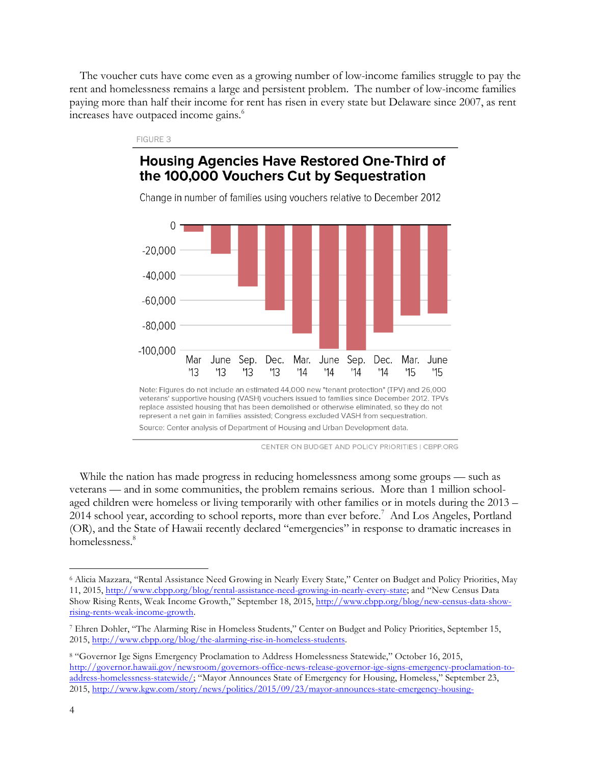The voucher cuts have come even as a growing number of low-income families struggle to pay the rent and homelessness remains a large and persistent problem. The number of low-income families paying more than half their income for rent has risen in every state but Delaware since 2007, as rent increases have outpaced income gains.<sup>6</sup>

# **Housing Agencies Have Restored One-Third of** the 100,000 Vouchers Cut by Sequestration

FIGURE 3



Change in number of families using vouchers relative to December 2012

CENTER ON BUDGET AND POLICY PRIORITIES I CBPP.ORG

While the nation has made progress in reducing homelessness among some groups — such as veterans — and in some communities, the problem remains serious. More than 1 million schoolaged children were homeless or living temporarily with other families or in motels during the 2013 – 2014 school year, according to school reports, more than ever before.<sup>7</sup> And Los Angeles, Portland (OR), and the State of Hawaii recently declared "emergencies" in response to dramatic increases in homelessness.<sup>8</sup>

 <sup>6</sup> Alicia Mazzara, "Rental Assistance Need Growing in Nearly Every State," Center on Budget and Policy Priorities, May 11, 2015, http://www.cbpp.org/blog/rental-assistance-need-growing-in-nearly-every-state; and "New Census Data Show Rising Rents, Weak Income Growth," September 18, 2015, http://www.cbpp.org/blog/new-census-data-showrising-rents-weak-income-growth.

<sup>7</sup> Ehren Dohler, "The Alarming Rise in Homeless Students," Center on Budget and Policy Priorities, September 15, 2015, http://www.cbpp.org/blog/the-alarming-rise-in-homeless-students.

<sup>8</sup> "Governor Ige Signs Emergency Proclamation to Address Homelessness Statewide," October 16, 2015, http://governor.hawaii.gov/newsroom/governors-office-news-release-governor-ige-signs-emergency-proclamation-toaddress-homelessness-statewide/; "Mayor Announces State of Emergency for Housing, Homeless," September 23, 2015, http://www.kgw.com/story/news/politics/2015/09/23/mayor-announces-state-emergency-housing-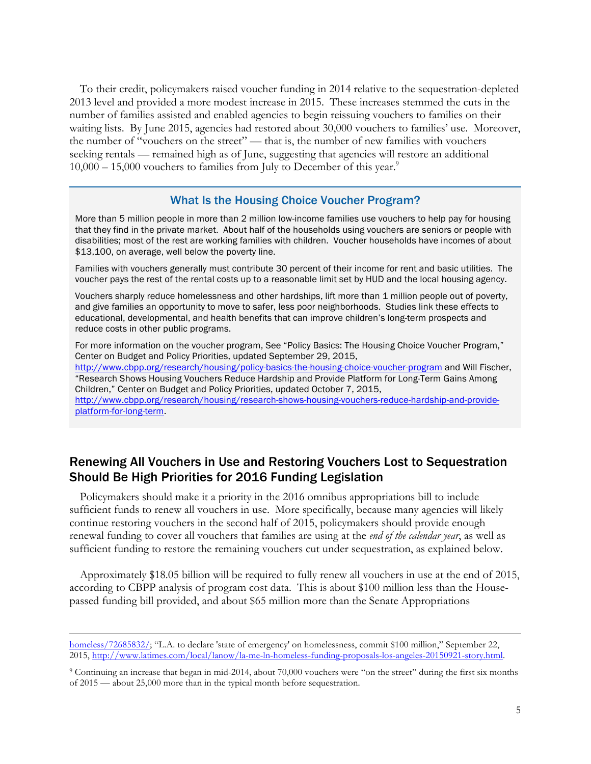To their credit, policymakers raised voucher funding in 2014 relative to the sequestration-depleted 2013 level and provided a more modest increase in 2015. These increases stemmed the cuts in the number of families assisted and enabled agencies to begin reissuing vouchers to families on their waiting lists. By June 2015, agencies had restored about 30,000 vouchers to families' use. Moreover, the number of "vouchers on the street" — that is, the number of new families with vouchers seeking rentals — remained high as of June, suggesting that agencies will restore an additional  $10,000 - 15,000$  vouchers to families from July to December of this year.<sup>9</sup>

#### What Is the Housing Choice Voucher Program?

More than 5 million people in more than 2 million low-income families use vouchers to help pay for housing that they find in the private market. About half of the households using vouchers are seniors or people with disabilities; most of the rest are working families with children. Voucher households have incomes of about \$13,100, on average, well below the poverty line.

Families with vouchers generally must contribute 30 percent of their income for rent and basic utilities. The voucher pays the rest of the rental costs up to a reasonable limit set by HUD and the local housing agency.

Vouchers sharply reduce homelessness and other hardships, lift more than 1 million people out of poverty, and give families an opportunity to move to safer, less poor neighborhoods. Studies link these effects to educational, developmental, and health benefits that can improve children's long-term prospects and reduce costs in other public programs.

For more information on the voucher program, See "Policy Basics: The Housing Choice Voucher Program," Center on Budget and Policy Priorities, updated September 29, 2015, http://www.cbpp.org/research/housing/policy-basics-the-housing-choice-voucher-program and Will Fischer, "Research Shows Housing Vouchers Reduce Hardship and Provide Platform for Long-Term Gains Among Children," Center on Budget and Policy Priorities, updated October 7, 2015, http://www.cbpp.org/research/housing/research-shows-housing-vouchers-reduce-hardship-and-provideplatform-for-long-term.

#### Renewing All Vouchers in Use and Restoring Vouchers Lost to Sequestration Should Be High Priorities for 2016 Funding Legislation

Policymakers should make it a priority in the 2016 omnibus appropriations bill to include sufficient funds to renew all vouchers in use. More specifically, because many agencies will likely continue restoring vouchers in the second half of 2015, policymakers should provide enough renewal funding to cover all vouchers that families are using at the *end of the calendar year*, as well as sufficient funding to restore the remaining vouchers cut under sequestration, as explained below.

Approximately \$18.05 billion will be required to fully renew all vouchers in use at the end of 2015, according to CBPP analysis of program cost data. This is about \$100 million less than the Housepassed funding bill provided, and about \$65 million more than the Senate Appropriations

homeless/72685832/; "L.A. to declare 'state of emergency' on homelessness, commit \$100 million," September 22, 2015, http://www.latimes.com/local/lanow/la-me-ln-homeless-funding-proposals-los-angeles-20150921-story.html.

<sup>9</sup> Continuing an increase that began in mid-2014, about 70,000 vouchers were "on the street" during the first six months of 2015 — about 25,000 more than in the typical month before sequestration.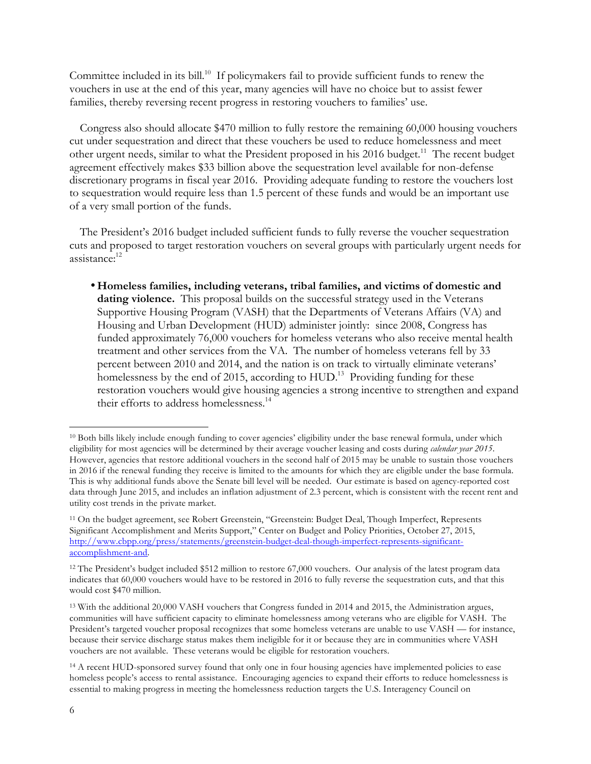Committee included in its bill.<sup>10</sup> If policymakers fail to provide sufficient funds to renew the vouchers in use at the end of this year, many agencies will have no choice but to assist fewer families, thereby reversing recent progress in restoring vouchers to families' use.

Congress also should allocate \$470 million to fully restore the remaining 60,000 housing vouchers cut under sequestration and direct that these vouchers be used to reduce homelessness and meet other urgent needs, similar to what the President proposed in his 2016 budget.<sup>11</sup> The recent budget agreement effectively makes \$33 billion above the sequestration level available for non-defense discretionary programs in fiscal year 2016. Providing adequate funding to restore the vouchers lost to sequestration would require less than 1.5 percent of these funds and would be an important use of a very small portion of the funds.

The President's 2016 budget included sufficient funds to fully reverse the voucher sequestration cuts and proposed to target restoration vouchers on several groups with particularly urgent needs for assistance: 12

•**Homeless families, including veterans, tribal families, and victims of domestic and**  dating violence. This proposal builds on the successful strategy used in the Veterans Supportive Housing Program (VASH) that the Departments of Veterans Affairs (VA) and Housing and Urban Development (HUD) administer jointly: since 2008, Congress has funded approximately 76,000 vouchers for homeless veterans who also receive mental health treatment and other services from the VA. The number of homeless veterans fell by 33 percent between 2010 and 2014, and the nation is on track to virtually eliminate veterans' homelessness by the end of 2015, according to HUD.<sup>13</sup> Providing funding for these restoration vouchers would give housing agencies a strong incentive to strengthen and expand their efforts to address homelessness.<sup>14</sup>

 <sup>10</sup> Both bills likely include enough funding to cover agencies' eligibility under the base renewal formula, under which eligibility for most agencies will be determined by their average voucher leasing and costs during *calendar year 2015*. However, agencies that restore additional vouchers in the second half of 2015 may be unable to sustain those vouchers in 2016 if the renewal funding they receive is limited to the amounts for which they are eligible under the base formula. This is why additional funds above the Senate bill level will be needed. Our estimate is based on agency-reported cost data through June 2015, and includes an inflation adjustment of 2.3 percent, which is consistent with the recent rent and utility cost trends in the private market.

<sup>11</sup> On the budget agreement, see Robert Greenstein, "Greenstein: Budget Deal, Though Imperfect, Represents Significant Accomplishment and Merits Support," Center on Budget and Policy Priorities, October 27, 2015, http://www.cbpp.org/press/statements/greenstein-budget-deal-though-imperfect-represents-significantaccomplishment-and.

<sup>12</sup> The President's budget included \$512 million to restore 67,000 vouchers. Our analysis of the latest program data indicates that 60,000 vouchers would have to be restored in 2016 to fully reverse the sequestration cuts, and that this would cost \$470 million.

<sup>13</sup> With the additional 20,000 VASH vouchers that Congress funded in 2014 and 2015, the Administration argues, communities will have sufficient capacity to eliminate homelessness among veterans who are eligible for VASH. The President's targeted voucher proposal recognizes that some homeless veterans are unable to use VASH — for instance, because their service discharge status makes them ineligible for it or because they are in communities where VASH vouchers are not available. These veterans would be eligible for restoration vouchers.

<sup>&</sup>lt;sup>14</sup> A recent HUD-sponsored survey found that only one in four housing agencies have implemented policies to ease homeless people's access to rental assistance. Encouraging agencies to expand their efforts to reduce homelessness is essential to making progress in meeting the homelessness reduction targets the U.S. Interagency Council on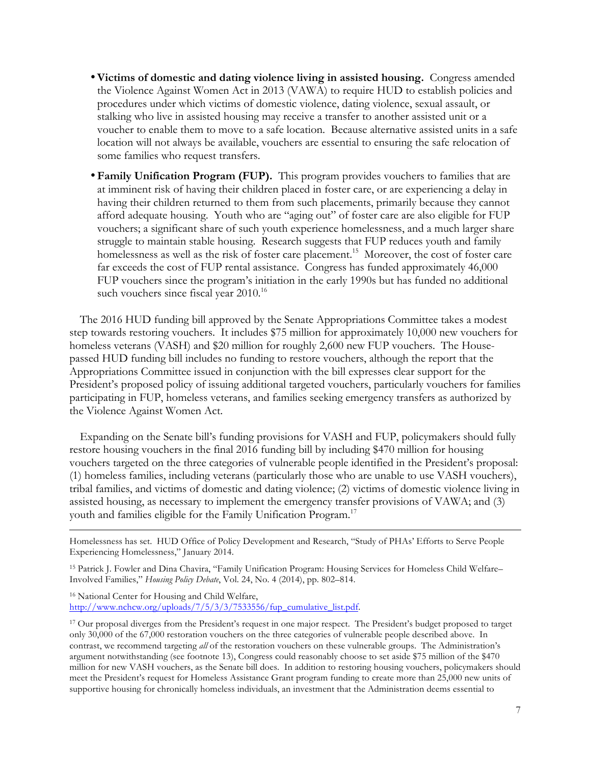- •**Victims of domestic and dating violence living in assisted housing.** Congress amended the Violence Against Women Act in 2013 (VAWA) to require HUD to establish policies and procedures under which victims of domestic violence, dating violence, sexual assault, or stalking who live in assisted housing may receive a transfer to another assisted unit or a voucher to enable them to move to a safe location. Because alternative assisted units in a safe location will not always be available, vouchers are essential to ensuring the safe relocation of some families who request transfers.
- •**Family Unification Program (FUP).** This program provides vouchers to families that are at imminent risk of having their children placed in foster care, or are experiencing a delay in having their children returned to them from such placements, primarily because they cannot afford adequate housing. Youth who are "aging out" of foster care are also eligible for FUP vouchers; a significant share of such youth experience homelessness, and a much larger share struggle to maintain stable housing. Research suggests that FUP reduces youth and family homelessness as well as the risk of foster care placement.<sup>15</sup> Moreover, the cost of foster care far exceeds the cost of FUP rental assistance. Congress has funded approximately 46,000 FUP vouchers since the program's initiation in the early 1990s but has funded no additional such vouchers since fiscal year 2010.<sup>16</sup>

The 2016 HUD funding bill approved by the Senate Appropriations Committee takes a modest step towards restoring vouchers. It includes \$75 million for approximately 10,000 new vouchers for homeless veterans (VASH) and \$20 million for roughly 2,600 new FUP vouchers. The Housepassed HUD funding bill includes no funding to restore vouchers, although the report that the Appropriations Committee issued in conjunction with the bill expresses clear support for the President's proposed policy of issuing additional targeted vouchers, particularly vouchers for families participating in FUP, homeless veterans, and families seeking emergency transfers as authorized by the Violence Against Women Act.

Expanding on the Senate bill's funding provisions for VASH and FUP, policymakers should fully restore housing vouchers in the final 2016 funding bill by including \$470 million for housing vouchers targeted on the three categories of vulnerable people identified in the President's proposal: (1) homeless families, including veterans (particularly those who are unable to use VASH vouchers), tribal families, and victims of domestic and dating violence; (2) victims of domestic violence living in assisted housing, as necessary to implement the emergency transfer provisions of VAWA; and (3) youth and families eligible for the Family Unification Program.<sup>17</sup>

<sup>16</sup> National Center for Housing and Child Welfare, http://www.nchcw.org/uploads/7/5/3/3/7533556/fup\_cumulative\_list.pdf.

Homelessness has set. HUD Office of Policy Development and Research, "Study of PHAs' Efforts to Serve People Experiencing Homelessness," January 2014.

<sup>15</sup> Patrick J. Fowler and Dina Chavira, "Family Unification Program: Housing Services for Homeless Child Welfare– Involved Families," *Housing Policy Debate*, Vol. 24, No. 4 (2014), pp. 802–814.

<sup>17</sup> Our proposal diverges from the President's request in one major respect. The President's budget proposed to target only 30,000 of the 67,000 restoration vouchers on the three categories of vulnerable people described above. In contrast, we recommend targeting *all* of the restoration vouchers on these vulnerable groups. The Administration's argument notwithstanding (see footnote 13), Congress could reasonably choose to set aside \$75 million of the \$470 million for new VASH vouchers, as the Senate bill does. In addition to restoring housing vouchers, policymakers should meet the President's request for Homeless Assistance Grant program funding to create more than 25,000 new units of supportive housing for chronically homeless individuals, an investment that the Administration deems essential to